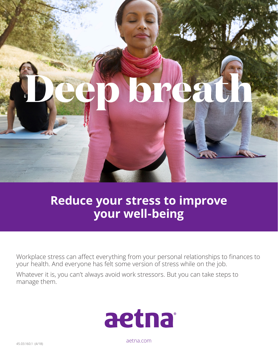

## **Reduce your stress to improve your well-being**

Workplace stress can affect everything from your personal relationships to finances to your health. And everyone has felt some version of stress while on the job.

Whatever it is, you can't always avoid work stressors. But you can take steps to manage them.



aetna.com